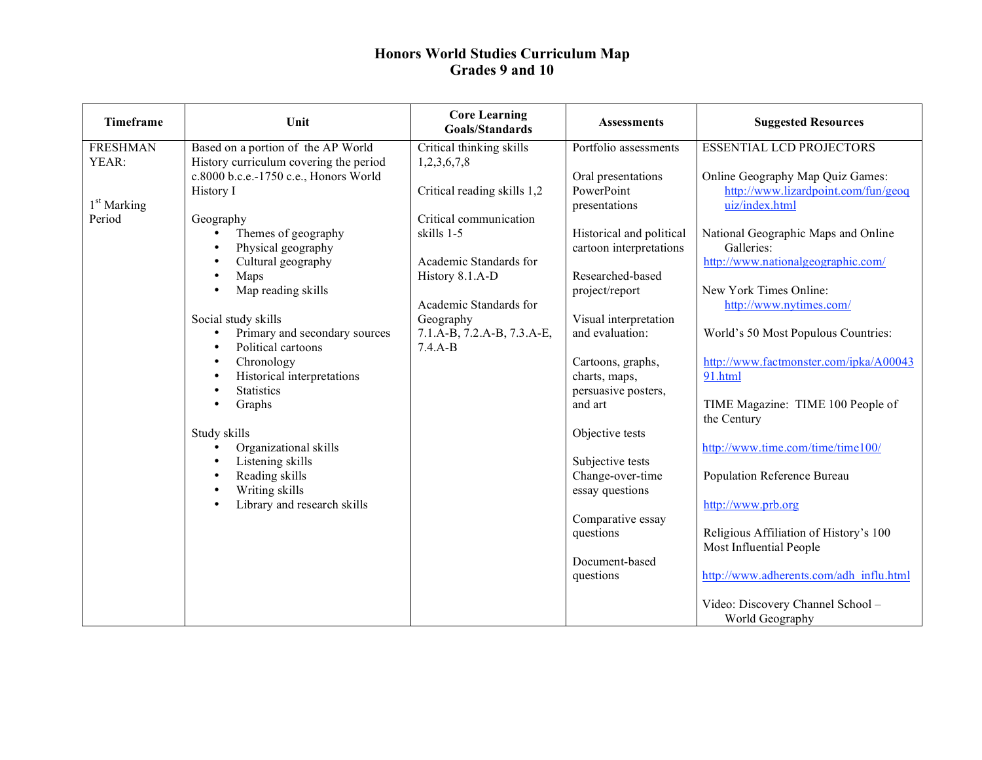| <b>Timeframe</b>        | Unit                                   | <b>Core Learning</b><br><b>Goals/Standards</b> | <b>Assessments</b>          | <b>Suggested Resources</b>                            |
|-------------------------|----------------------------------------|------------------------------------------------|-----------------------------|-------------------------------------------------------|
| <b>FRESHMAN</b>         | Based on a portion of the AP World     | Critical thinking skills                       | Portfolio assessments       | <b>ESSENTIAL LCD PROJECTORS</b>                       |
| YEAR:                   | History curriculum covering the period | 1,2,3,6,7,8                                    |                             |                                                       |
|                         | c.8000 b.c.e.-1750 c.e., Honors World  |                                                | Oral presentations          | Online Geography Map Quiz Games:                      |
| 1 <sup>st</sup> Marking | History I                              | Critical reading skills 1,2                    | PowerPoint<br>presentations | http://www.lizardpoint.com/fun/geog<br>uiz/index.html |
| Period                  | Geography                              | Critical communication                         |                             |                                                       |
|                         | Themes of geography                    | skills 1-5                                     | Historical and political    | National Geographic Maps and Online                   |
|                         | Physical geography                     |                                                | cartoon interpretations     | Galleries:                                            |
|                         | Cultural geography                     | Academic Standards for                         |                             | http://www.nationalgeographic.com/                    |
|                         | Maps                                   | History 8.1.A-D                                | Researched-based            |                                                       |
|                         | Map reading skills                     |                                                | project/report              | New York Times Online:                                |
|                         |                                        | Academic Standards for                         |                             | http://www.nytimes.com/                               |
|                         | Social study skills                    | Geography                                      | Visual interpretation       |                                                       |
|                         | Primary and secondary sources          | 7.1.A-B, 7.2.A-B, 7.3.A-E,                     | and evaluation:             | World's 50 Most Populous Countries:                   |
|                         | Political cartoons                     | $7.4.A-B$                                      |                             |                                                       |
|                         | Chronology                             |                                                | Cartoons, graphs,           | http://www.factmonster.com/ipka/A00043                |
|                         | Historical interpretations             |                                                | charts, maps,               | 91.html                                               |
|                         | <b>Statistics</b>                      |                                                | persuasive posters,         |                                                       |
|                         | Graphs                                 |                                                | and art                     | TIME Magazine: TIME 100 People of                     |
|                         |                                        |                                                |                             | the Century                                           |
|                         | Study skills                           |                                                | Objective tests             |                                                       |
|                         | Organizational skills                  |                                                |                             | http://www.time.com/time/time100/                     |
|                         | Listening skills                       |                                                | Subjective tests            |                                                       |
|                         | Reading skills                         |                                                | Change-over-time            | Population Reference Bureau                           |
|                         | Writing skills                         |                                                | essay questions             |                                                       |
|                         | Library and research skills            |                                                |                             | http://www.prb.org                                    |
|                         |                                        |                                                | Comparative essay           |                                                       |
|                         |                                        |                                                | questions                   | Religious Affiliation of History's 100                |
|                         |                                        |                                                |                             | Most Influential People                               |
|                         |                                        |                                                | Document-based              |                                                       |
|                         |                                        |                                                | questions                   | http://www.adherents.com/adh influ.html               |
|                         |                                        |                                                |                             | Video: Discovery Channel School -                     |
|                         |                                        |                                                |                             | World Geography                                       |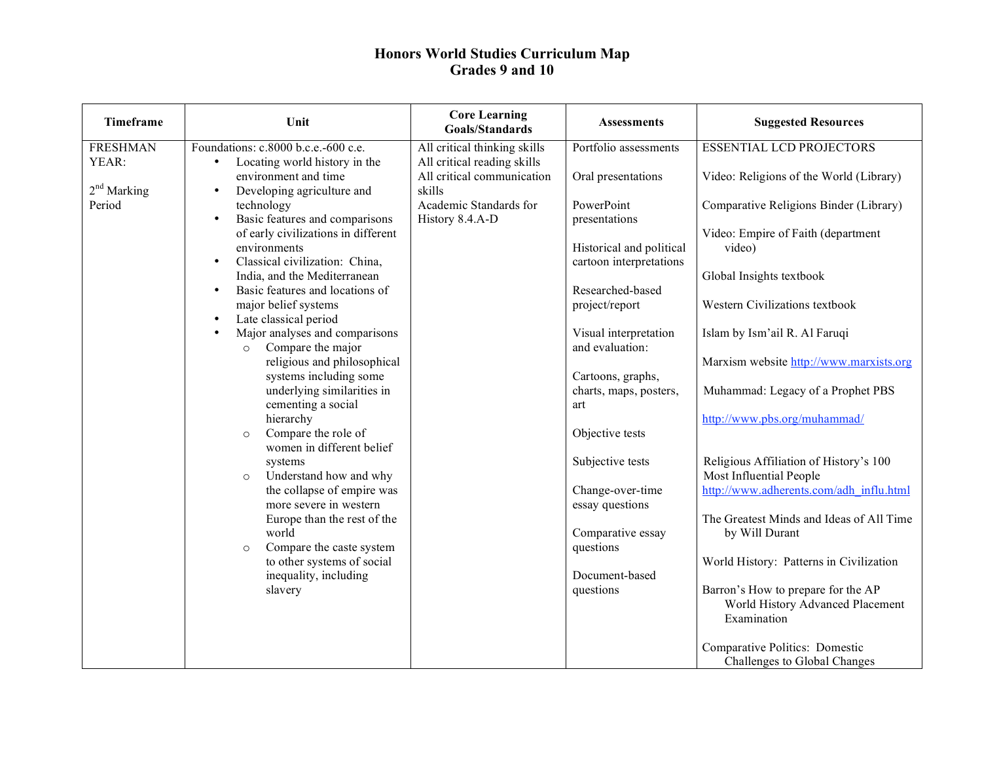| Timeframe               | Unit                                                                                                                                                                                                                                                                                                                                                                                                                                                                                                                                                                                                                                                                                                                                                | <b>Core Learning</b><br><b>Goals/Standards</b>                                    | <b>Assessments</b>                                                                                                                                                                                                                                                                                                             | <b>Suggested Resources</b>                                                                                                                                                                                                                                                                                                                                                                                                                                       |
|-------------------------|-----------------------------------------------------------------------------------------------------------------------------------------------------------------------------------------------------------------------------------------------------------------------------------------------------------------------------------------------------------------------------------------------------------------------------------------------------------------------------------------------------------------------------------------------------------------------------------------------------------------------------------------------------------------------------------------------------------------------------------------------------|-----------------------------------------------------------------------------------|--------------------------------------------------------------------------------------------------------------------------------------------------------------------------------------------------------------------------------------------------------------------------------------------------------------------------------|------------------------------------------------------------------------------------------------------------------------------------------------------------------------------------------------------------------------------------------------------------------------------------------------------------------------------------------------------------------------------------------------------------------------------------------------------------------|
| <b>FRESHMAN</b>         | Foundations: c.8000 b.c.e.-600 c.e.                                                                                                                                                                                                                                                                                                                                                                                                                                                                                                                                                                                                                                                                                                                 | All critical thinking skills                                                      | Portfolio assessments                                                                                                                                                                                                                                                                                                          | <b>ESSENTIAL LCD PROJECTORS</b>                                                                                                                                                                                                                                                                                                                                                                                                                                  |
| YEAR:                   | Locating world history in the<br>$\bullet$                                                                                                                                                                                                                                                                                                                                                                                                                                                                                                                                                                                                                                                                                                          | All critical reading skills                                                       |                                                                                                                                                                                                                                                                                                                                |                                                                                                                                                                                                                                                                                                                                                                                                                                                                  |
|                         |                                                                                                                                                                                                                                                                                                                                                                                                                                                                                                                                                                                                                                                                                                                                                     |                                                                                   |                                                                                                                                                                                                                                                                                                                                |                                                                                                                                                                                                                                                                                                                                                                                                                                                                  |
| $2nd$ Marking<br>Period | environment and time<br>Developing agriculture and<br>$\bullet$<br>technology<br>Basic features and comparisons<br>$\bullet$<br>of early civilizations in different<br>environments<br>Classical civilization: China,<br>$\bullet$<br>India, and the Mediterranean<br>Basic features and locations of<br>$\bullet$<br>major belief systems<br>Late classical period<br>$\bullet$<br>Major analyses and comparisons<br>Compare the major<br>$\circ$<br>religious and philosophical<br>systems including some<br>underlying similarities in<br>cementing a social<br>hierarchy<br>Compare the role of<br>$\circ$<br>women in different belief<br>systems<br>Understand how and why<br>$\circ$<br>the collapse of empire was<br>more severe in western | All critical communication<br>skills<br>Academic Standards for<br>History 8.4.A-D | Oral presentations<br>PowerPoint<br>presentations<br>Historical and political<br>cartoon interpretations<br>Researched-based<br>project/report<br>Visual interpretation<br>and evaluation:<br>Cartoons, graphs,<br>charts, maps, posters,<br>art<br>Objective tests<br>Subjective tests<br>Change-over-time<br>essay questions | Video: Religions of the World (Library)<br>Comparative Religions Binder (Library)<br>Video: Empire of Faith (department<br>video)<br>Global Insights textbook<br>Western Civilizations textbook<br>Islam by Ism'ail R. Al Faruqi<br>Marxism website http://www.marxists.org<br>Muhammad: Legacy of a Prophet PBS<br>http://www.pbs.org/muhammad/<br>Religious Affiliation of History's 100<br>Most Influential People<br>http://www.adherents.com/adh influ.html |
|                         | Europe than the rest of the<br>world<br>Compare the caste system<br>$\circ$                                                                                                                                                                                                                                                                                                                                                                                                                                                                                                                                                                                                                                                                         |                                                                                   | Comparative essay<br>questions                                                                                                                                                                                                                                                                                                 | The Greatest Minds and Ideas of All Time<br>by Will Durant                                                                                                                                                                                                                                                                                                                                                                                                       |
|                         | to other systems of social                                                                                                                                                                                                                                                                                                                                                                                                                                                                                                                                                                                                                                                                                                                          |                                                                                   |                                                                                                                                                                                                                                                                                                                                | World History: Patterns in Civilization                                                                                                                                                                                                                                                                                                                                                                                                                          |
|                         | inequality, including<br>slavery                                                                                                                                                                                                                                                                                                                                                                                                                                                                                                                                                                                                                                                                                                                    |                                                                                   | Document-based<br>questions                                                                                                                                                                                                                                                                                                    | Barron's How to prepare for the AP<br>World History Advanced Placement<br>Examination                                                                                                                                                                                                                                                                                                                                                                            |
|                         |                                                                                                                                                                                                                                                                                                                                                                                                                                                                                                                                                                                                                                                                                                                                                     |                                                                                   |                                                                                                                                                                                                                                                                                                                                | Comparative Politics: Domestic<br>Challenges to Global Changes                                                                                                                                                                                                                                                                                                                                                                                                   |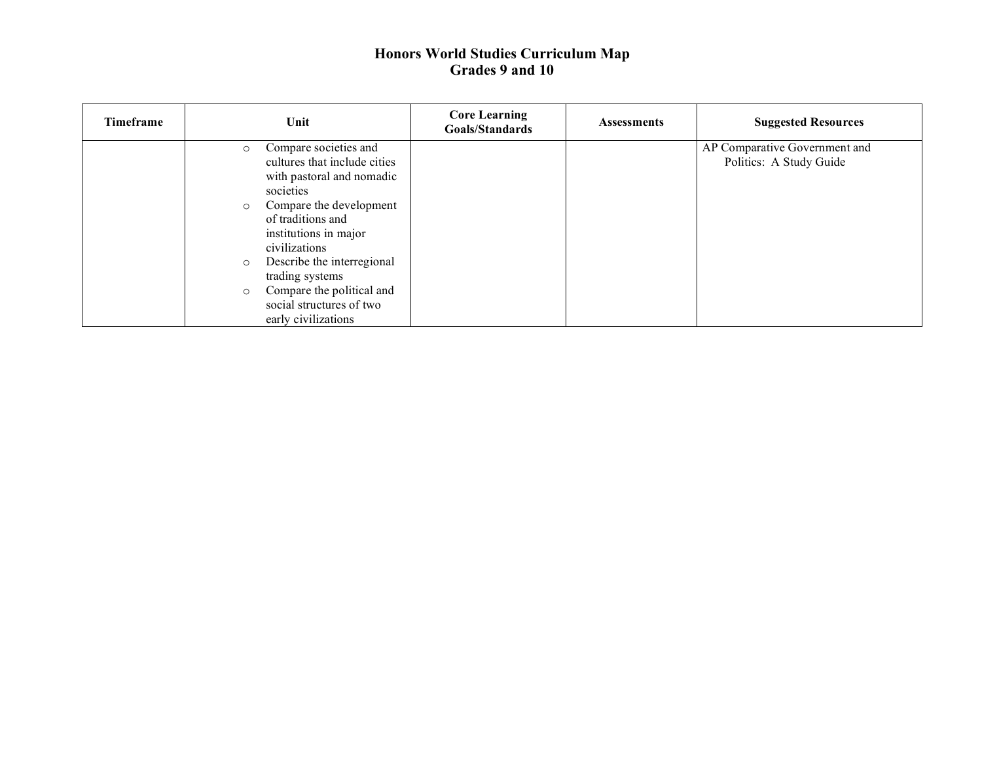| <b>Timeframe</b> | Unit                                                                                                                                                                                                                                                                                                                                                                   | <b>Core Learning</b><br>Goals/Standards | <b>Assessments</b> | <b>Suggested Resources</b>                               |
|------------------|------------------------------------------------------------------------------------------------------------------------------------------------------------------------------------------------------------------------------------------------------------------------------------------------------------------------------------------------------------------------|-----------------------------------------|--------------------|----------------------------------------------------------|
|                  | Compare societies and<br>$\circ$<br>cultures that include cities<br>with pastoral and nomadic<br>societies<br>Compare the development<br>$\circ$<br>of traditions and<br>institutions in major<br>civilizations<br>Describe the interregional<br>$\circ$<br>trading systems<br>Compare the political and<br>$\circ$<br>social structures of two<br>early civilizations |                                         |                    | AP Comparative Government and<br>Politics: A Study Guide |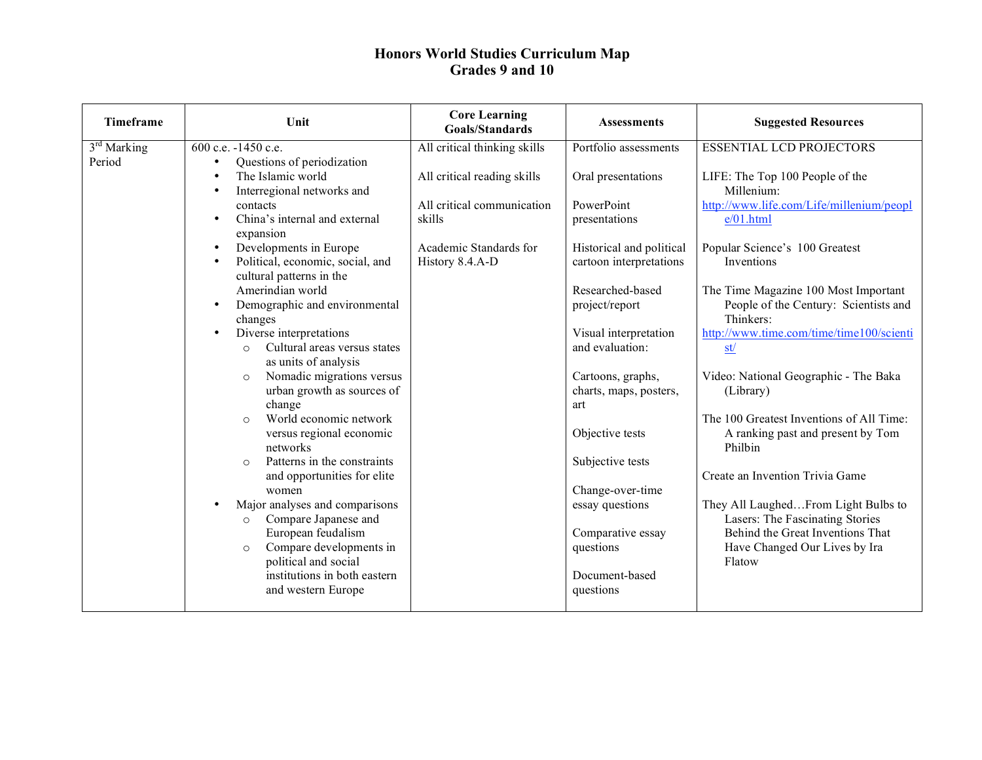| <b>Timeframe</b>        | Unit                                     | <b>Core Learning</b><br><b>Goals/Standards</b> | <b>Assessments</b>       | <b>Suggested Resources</b>                         |
|-------------------------|------------------------------------------|------------------------------------------------|--------------------------|----------------------------------------------------|
| 3 <sup>rd</sup> Marking | 600 c.e. -1450 c.e.                      | All critical thinking skills                   | Portfolio assessments    | <b>ESSENTIAL LCD PROJECTORS</b>                    |
| Period                  | Questions of periodization<br>$\bullet$  |                                                |                          |                                                    |
|                         | The Islamic world<br>$\bullet$           | All critical reading skills                    | Oral presentations       | LIFE: The Top 100 People of the                    |
|                         | Interregional networks and               |                                                |                          | Millenium:                                         |
|                         | contacts                                 | All critical communication                     | PowerPoint               | http://www.life.com/Life/millenium/peopl           |
|                         | China's internal and external            | skills                                         | presentations            | e/01.html                                          |
|                         | expansion                                |                                                |                          |                                                    |
|                         | Developments in Europe<br>$\bullet$      | Academic Standards for                         | Historical and political | Popular Science's 100 Greatest                     |
|                         | Political, economic, social, and         | History 8.4.A-D                                | cartoon interpretations  | Inventions                                         |
|                         | cultural patterns in the                 |                                                |                          |                                                    |
|                         | Amerindian world<br>$\bullet$            |                                                | Researched-based         | The Time Magazine 100 Most Important               |
|                         | Demographic and environmental<br>changes |                                                | project/report           | People of the Century: Scientists and<br>Thinkers: |
|                         | Diverse interpretations<br>$\bullet$     |                                                | Visual interpretation    | http://www.time.com/time/time100/scienti           |
|                         | Cultural areas versus states<br>$\Omega$ |                                                | and evaluation:          | st/                                                |
|                         | as units of analysis                     |                                                |                          |                                                    |
|                         | Nomadic migrations versus<br>$\Omega$    |                                                | Cartoons, graphs,        | Video: National Geographic - The Baka              |
|                         | urban growth as sources of               |                                                | charts, maps, posters,   | (Library)                                          |
|                         | change                                   |                                                | art                      |                                                    |
|                         | World economic network<br>$\Omega$       |                                                |                          | The 100 Greatest Inventions of All Time:           |
|                         | versus regional economic<br>networks     |                                                | Objective tests          | A ranking past and present by Tom<br>Philbin       |
|                         | Patterns in the constraints<br>$\Omega$  |                                                | Subjective tests         |                                                    |
|                         | and opportunities for elite              |                                                |                          | Create an Invention Trivia Game                    |
|                         | women                                    |                                                | Change-over-time         |                                                    |
|                         | Major analyses and comparisons           |                                                | essay questions          | They All LaughedFrom Light Bulbs to                |
|                         | Compare Japanese and<br>$\circ$          |                                                |                          | Lasers: The Fascinating Stories                    |
|                         | European feudalism                       |                                                | Comparative essay        | Behind the Great Inventions That                   |
|                         | Compare developments in<br>$\circ$       |                                                | questions                | Have Changed Our Lives by Ira                      |
|                         | political and social                     |                                                |                          | Flatow                                             |
|                         | institutions in both eastern             |                                                | Document-based           |                                                    |
|                         | and western Europe                       |                                                | questions                |                                                    |
|                         |                                          |                                                |                          |                                                    |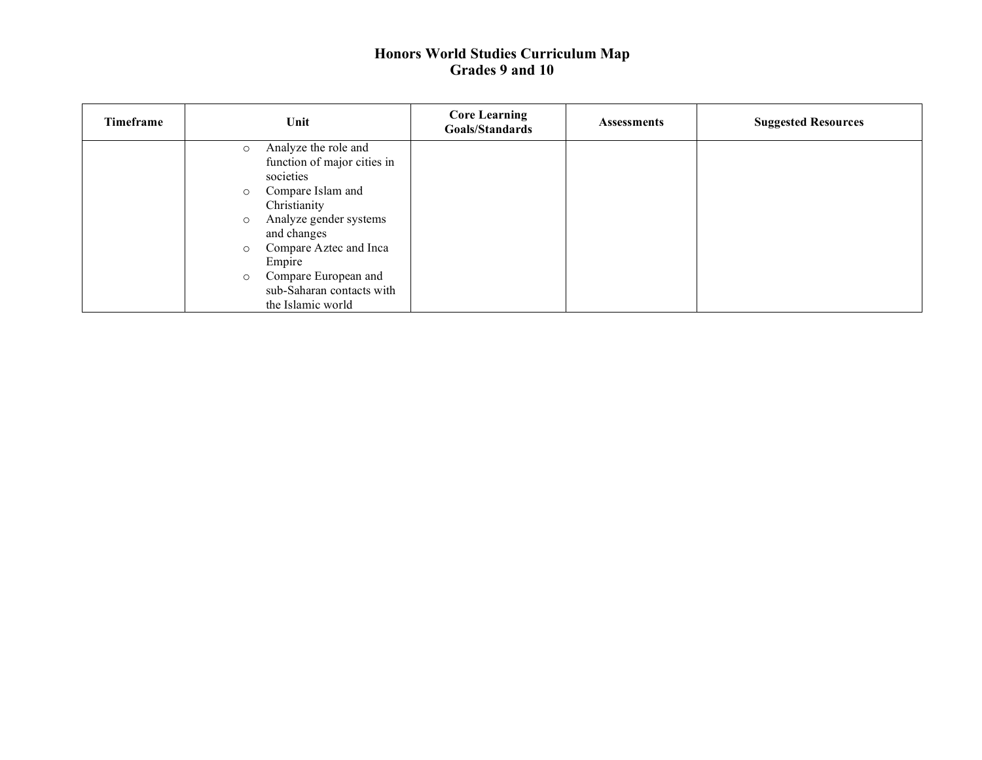| <b>Timeframe</b> | Unit                              | <b>Core Learning</b><br><b>Goals/Standards</b> | <b>Assessments</b> | <b>Suggested Resources</b> |
|------------------|-----------------------------------|------------------------------------------------|--------------------|----------------------------|
|                  | Analyze the role and<br>$\circ$   |                                                |                    |                            |
|                  | function of major cities in       |                                                |                    |                            |
|                  | societies                         |                                                |                    |                            |
|                  | Compare Islam and<br>$\circ$      |                                                |                    |                            |
|                  | Christianity                      |                                                |                    |                            |
|                  | Analyze gender systems<br>$\circ$ |                                                |                    |                            |
|                  | and changes                       |                                                |                    |                            |
|                  | Compare Aztec and Inca<br>$\circ$ |                                                |                    |                            |
|                  | Empire                            |                                                |                    |                            |
|                  | Compare European and<br>$\circ$   |                                                |                    |                            |
|                  | sub-Saharan contacts with         |                                                |                    |                            |
|                  | the Islamic world                 |                                                |                    |                            |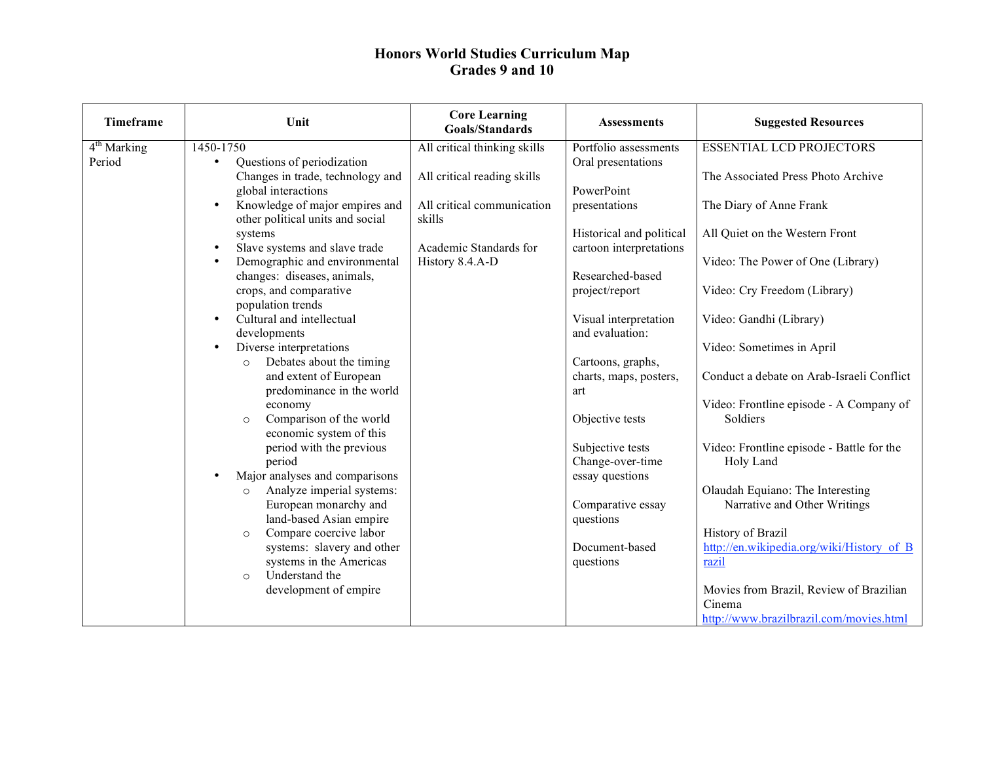| <b>Timeframe</b>        | Unit                                    | <b>Core Learning</b><br><b>Goals/Standards</b> | <b>Assessments</b>                   | <b>Suggested Resources</b>                             |
|-------------------------|-----------------------------------------|------------------------------------------------|--------------------------------------|--------------------------------------------------------|
| 4 <sup>th</sup> Marking | 1450-1750                               | All critical thinking skills                   | Portfolio assessments                | <b>ESSENTIAL LCD PROJECTORS</b>                        |
| Period                  | Questions of periodization<br>$\bullet$ |                                                | Oral presentations                   |                                                        |
|                         | Changes in trade, technology and        | All critical reading skills                    |                                      | The Associated Press Photo Archive                     |
|                         | global interactions                     |                                                | PowerPoint                           |                                                        |
|                         | Knowledge of major empires and          | All critical communication                     | presentations                        | The Diary of Anne Frank                                |
|                         | other political units and social        | skills                                         |                                      |                                                        |
|                         | systems                                 |                                                | Historical and political             | All Quiet on the Western Front                         |
|                         | Slave systems and slave trade           | Academic Standards for                         | cartoon interpretations              |                                                        |
|                         | Demographic and environmental           | History 8.4.A-D                                |                                      | Video: The Power of One (Library)                      |
|                         | changes: diseases, animals,             |                                                | Researched-based                     |                                                        |
|                         | crops, and comparative                  |                                                | project/report                       | Video: Cry Freedom (Library)                           |
|                         | population trends                       |                                                |                                      |                                                        |
|                         | Cultural and intellectual               |                                                | Visual interpretation                | Video: Gandhi (Library)                                |
|                         | developments                            |                                                | and evaluation:                      |                                                        |
|                         | Diverse interpretations                 |                                                |                                      | Video: Sometimes in April                              |
|                         | Debates about the timing                |                                                | Cartoons, graphs,                    |                                                        |
|                         | and extent of European                  |                                                | charts, maps, posters,               | Conduct a debate on Arab-Israeli Conflict              |
|                         | predominance in the world               |                                                | art                                  |                                                        |
|                         | economy                                 |                                                |                                      | Video: Frontline episode - A Company of                |
|                         | Comparison of the world<br>$\circ$      |                                                | Objective tests                      | Soldiers                                               |
|                         | economic system of this                 |                                                |                                      |                                                        |
|                         | period with the previous<br>period      |                                                | Subjective tests<br>Change-over-time | Video: Frontline episode - Battle for the<br>Holy Land |
|                         | Major analyses and comparisons          |                                                | essay questions                      |                                                        |
|                         | Analyze imperial systems:<br>$\circ$    |                                                |                                      | Olaudah Equiano: The Interesting                       |
|                         | European monarchy and                   |                                                | Comparative essay                    | Narrative and Other Writings                           |
|                         | land-based Asian empire                 |                                                | questions                            |                                                        |
|                         | Compare coercive labor<br>$\circ$       |                                                |                                      | History of Brazil                                      |
|                         | systems: slavery and other              |                                                | Document-based                       | http://en.wikipedia.org/wiki/History of B              |
|                         | systems in the Americas                 |                                                | questions                            | razil                                                  |
|                         | Understand the<br>$\Omega$              |                                                |                                      |                                                        |
|                         | development of empire                   |                                                |                                      | Movies from Brazil, Review of Brazilian                |
|                         |                                         |                                                |                                      | Cinema                                                 |
|                         |                                         |                                                |                                      | http://www.brazilbrazil.com/movies.html                |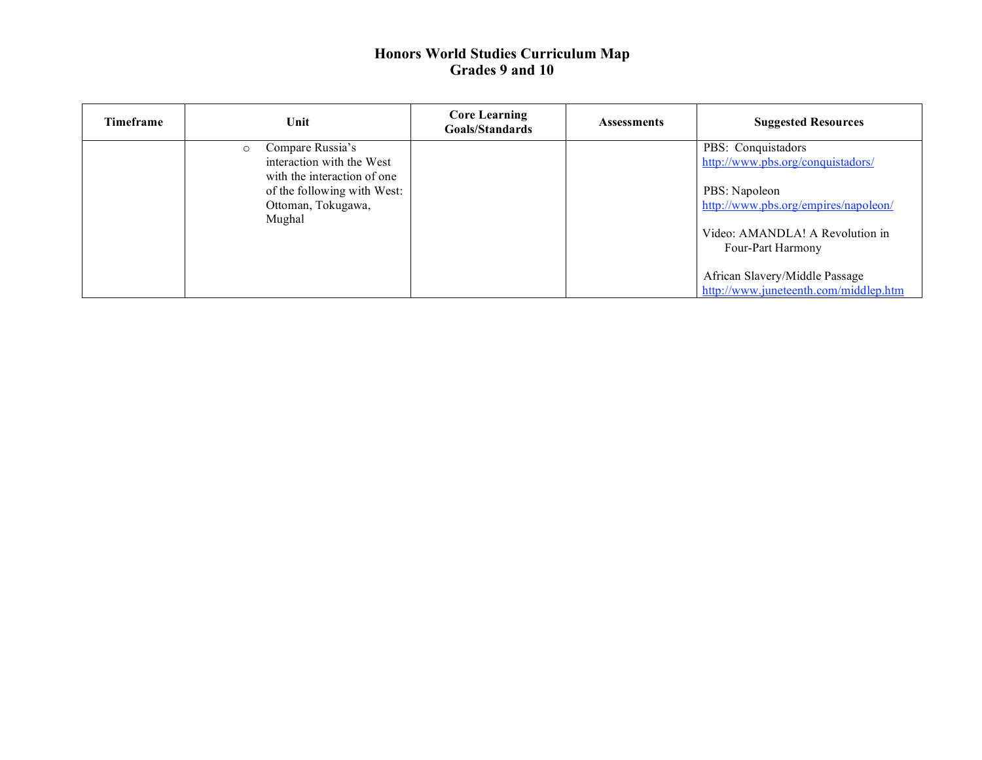| <b>Timeframe</b> | Unit                                                                                                                                                   | <b>Core Learning</b><br>Goals/Standards | <b>Assessments</b> | <b>Suggested Resources</b>                                                                                                                                               |
|------------------|--------------------------------------------------------------------------------------------------------------------------------------------------------|-----------------------------------------|--------------------|--------------------------------------------------------------------------------------------------------------------------------------------------------------------------|
|                  | Compare Russia's<br>$\circ$<br>interaction with the West<br>with the interaction of one<br>of the following with West:<br>Ottoman, Tokugawa,<br>Mughal |                                         |                    | PBS: Conquistadors<br>http://www.pbs.org/conquistadors/<br>PBS: Napoleon<br>http://www.pbs.org/empires/napoleon/<br>Video: AMANDLA! A Revolution in<br>Four-Part Harmony |
|                  |                                                                                                                                                        |                                         |                    | African Slavery/Middle Passage<br>http://www.juneteenth.com/middlep.htm                                                                                                  |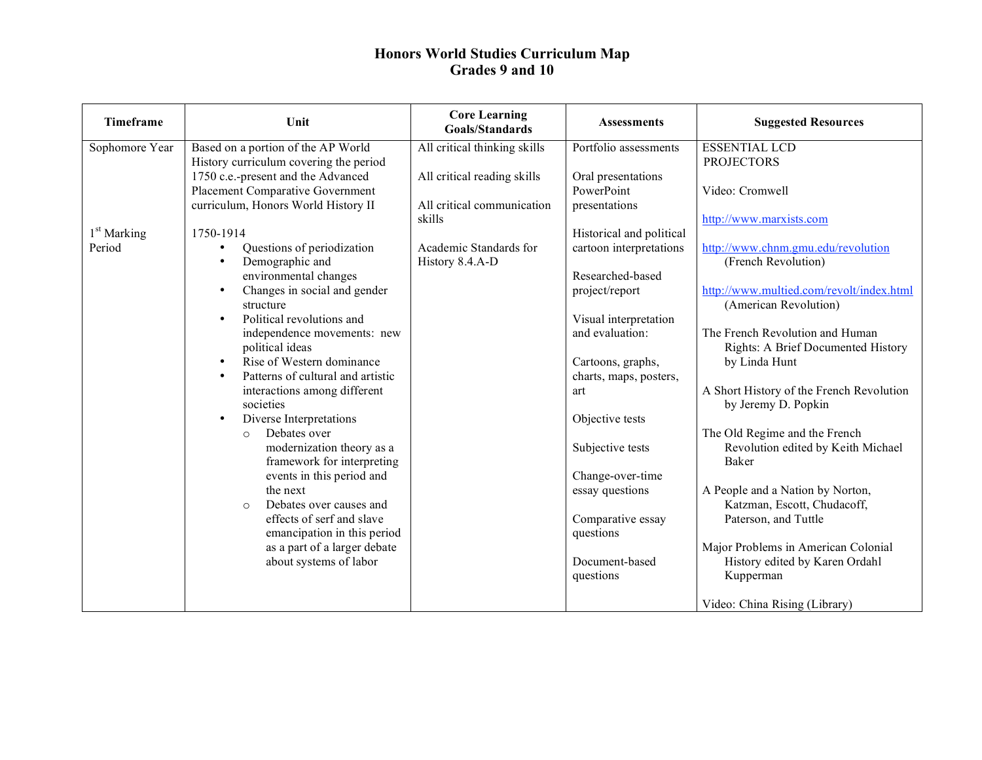| Timeframe      | Unit                                                  | <b>Core Learning</b><br><b>Goals/Standards</b> | <b>Assessments</b>             | <b>Suggested Resources</b>               |
|----------------|-------------------------------------------------------|------------------------------------------------|--------------------------------|------------------------------------------|
| Sophomore Year | Based on a portion of the AP World                    | All critical thinking skills                   | Portfolio assessments          | <b>ESSENTIAL LCD</b>                     |
|                | History curriculum covering the period                |                                                |                                | <b>PROJECTORS</b>                        |
|                | 1750 c.e.-present and the Advanced                    | All critical reading skills                    | Oral presentations             |                                          |
|                | Placement Comparative Government                      |                                                | PowerPoint                     | Video: Cromwell                          |
|                | curriculum, Honors World History II                   | All critical communication                     | presentations                  |                                          |
|                |                                                       | skills                                         |                                | http://www.marxists.com                  |
| $1st$ Marking  | 1750-1914                                             |                                                | Historical and political       |                                          |
| Period         | Questions of periodization<br>$\bullet$               | Academic Standards for                         | cartoon interpretations        | http://www.chnm.gmu.edu/revolution       |
|                | Demographic and<br>$\bullet$<br>environmental changes | History 8.4.A-D                                | Researched-based               | (French Revolution)                      |
|                | Changes in social and gender<br>$\bullet$             |                                                | project/report                 | http://www.multied.com/revolt/index.html |
|                | structure                                             |                                                |                                | (American Revolution)                    |
|                | Political revolutions and<br>$\bullet$                |                                                | Visual interpretation          |                                          |
|                | independence movements: new                           |                                                | and evaluation:                | The French Revolution and Human          |
|                | political ideas                                       |                                                |                                | Rights: A Brief Documented History       |
|                | Rise of Western dominance<br>$\bullet$                |                                                | Cartoons, graphs,              | by Linda Hunt                            |
|                | Patterns of cultural and artistic<br>$\bullet$        |                                                | charts, maps, posters,         |                                          |
|                | interactions among different                          |                                                | art                            | A Short History of the French Revolution |
|                | societies                                             |                                                |                                | by Jeremy D. Popkin                      |
|                | Diverse Interpretations<br>$\bullet$                  |                                                | Objective tests                |                                          |
|                | Debates over<br>$\Omega$                              |                                                |                                | The Old Regime and the French            |
|                | modernization theory as a                             |                                                | Subjective tests               | Revolution edited by Keith Michael       |
|                | framework for interpreting                            |                                                |                                | Baker                                    |
|                | events in this period and                             |                                                | Change-over-time               |                                          |
|                | the next<br>Debates over causes and                   |                                                | essay questions                | A People and a Nation by Norton,         |
|                | $\circ$<br>effects of serf and slave                  |                                                |                                | Katzman, Escott, Chudacoff,              |
|                | emancipation in this period                           |                                                | Comparative essay<br>questions | Paterson, and Tuttle                     |
|                | as a part of a larger debate                          |                                                |                                | Major Problems in American Colonial      |
|                | about systems of labor                                |                                                | Document-based                 | History edited by Karen Ordahl           |
|                |                                                       |                                                | questions                      | Kupperman                                |
|                |                                                       |                                                |                                |                                          |
|                |                                                       |                                                |                                | Video: China Rising (Library)            |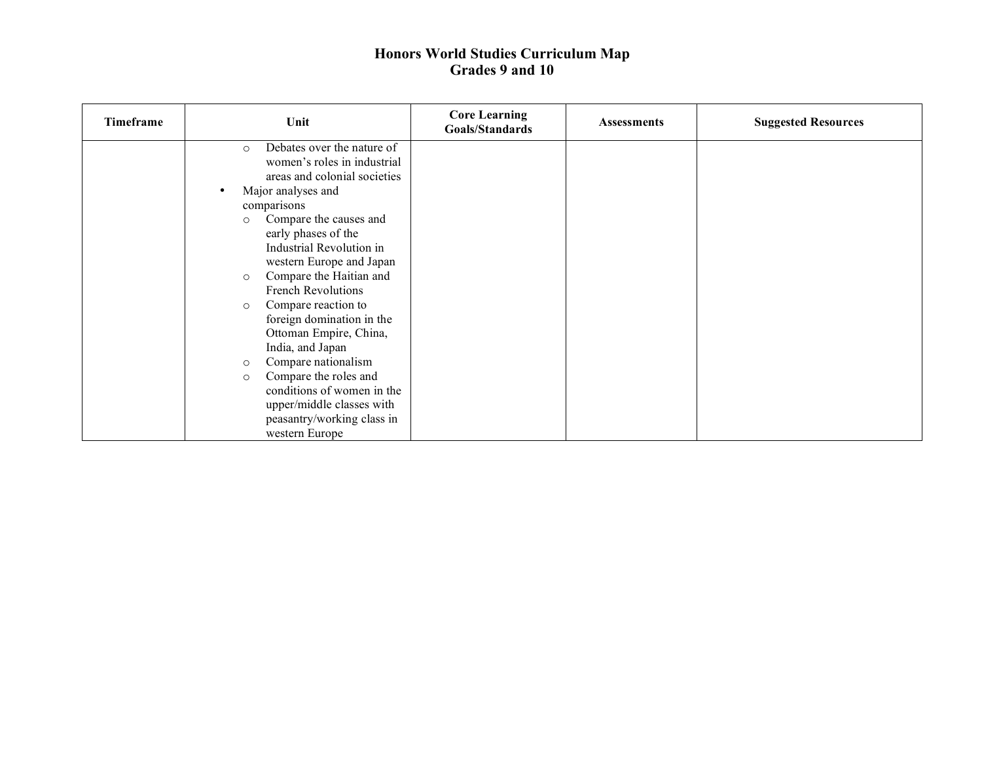| Timeframe | Unit                                  | <b>Core Learning</b><br>Goals/Standards | <b>Assessments</b> | <b>Suggested Resources</b> |
|-----------|---------------------------------------|-----------------------------------------|--------------------|----------------------------|
|           | Debates over the nature of<br>$\circ$ |                                         |                    |                            |
|           | women's roles in industrial           |                                         |                    |                            |
|           | areas and colonial societies          |                                         |                    |                            |
|           | Major analyses and<br>$\bullet$       |                                         |                    |                            |
|           | comparisons                           |                                         |                    |                            |
|           | Compare the causes and<br>$\circ$     |                                         |                    |                            |
|           | early phases of the                   |                                         |                    |                            |
|           | Industrial Revolution in              |                                         |                    |                            |
|           | western Europe and Japan              |                                         |                    |                            |
|           | Compare the Haitian and<br>$\circ$    |                                         |                    |                            |
|           | <b>French Revolutions</b>             |                                         |                    |                            |
|           | Compare reaction to<br>$\circ$        |                                         |                    |                            |
|           | foreign domination in the             |                                         |                    |                            |
|           | Ottoman Empire, China,                |                                         |                    |                            |
|           | India, and Japan                      |                                         |                    |                            |
|           | Compare nationalism<br>$\circ$        |                                         |                    |                            |
|           | Compare the roles and<br>$\circ$      |                                         |                    |                            |
|           | conditions of women in the            |                                         |                    |                            |
|           | upper/middle classes with             |                                         |                    |                            |
|           | peasantry/working class in            |                                         |                    |                            |
|           | western Europe                        |                                         |                    |                            |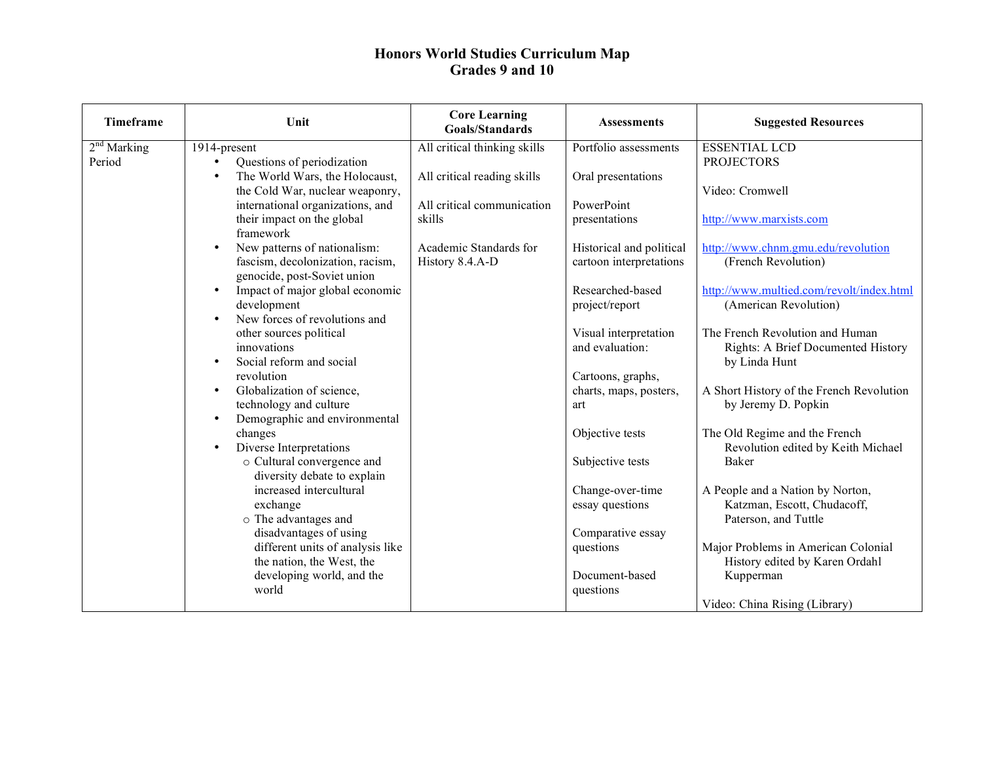| Timeframe     | Unit                                                       | <b>Core Learning</b><br><b>Goals/Standards</b> | <b>Assessments</b>             | <b>Suggested Resources</b>                          |
|---------------|------------------------------------------------------------|------------------------------------------------|--------------------------------|-----------------------------------------------------|
| $2nd$ Marking | 1914-present                                               | All critical thinking skills                   | Portfolio assessments          | <b>ESSENTIAL LCD</b>                                |
| Period        | Questions of periodization                                 |                                                |                                | <b>PROJECTORS</b>                                   |
|               | The World Wars, the Holocaust,<br>$\bullet$                | All critical reading skills                    | Oral presentations             |                                                     |
|               | the Cold War, nuclear weaponry,                            |                                                |                                | Video: Cromwell                                     |
|               | international organizations, and                           | All critical communication                     | PowerPoint                     |                                                     |
|               | their impact on the global                                 | skills                                         | presentations                  | http://www.marxists.com                             |
|               | framework                                                  |                                                |                                |                                                     |
|               | New patterns of nationalism:                               | Academic Standards for                         | Historical and political       | http://www.chnm.gmu.edu/revolution                  |
|               | fascism, decolonization, racism,                           | History 8.4.A-D                                | cartoon interpretations        | (French Revolution)                                 |
|               | genocide, post-Soviet union                                |                                                |                                |                                                     |
|               | Impact of major global economic                            |                                                | Researched-based               | http://www.multied.com/revolt/index.html            |
|               | development                                                |                                                | project/report                 | (American Revolution)                               |
|               | New forces of revolutions and<br>$\bullet$                 |                                                |                                |                                                     |
|               | other sources political                                    |                                                | Visual interpretation          | The French Revolution and Human                     |
|               | innovations                                                |                                                | and evaluation:                | Rights: A Brief Documented History                  |
|               | Social reform and social                                   |                                                |                                | by Linda Hunt                                       |
|               | revolution                                                 |                                                | Cartoons, graphs,              |                                                     |
|               | Globalization of science,                                  |                                                | charts, maps, posters,         | A Short History of the French Revolution            |
|               | technology and culture                                     |                                                | art                            | by Jeremy D. Popkin                                 |
|               | Demographic and environmental                              |                                                |                                |                                                     |
|               | changes                                                    |                                                | Objective tests                | The Old Regime and the French                       |
|               | Diverse Interpretations                                    |                                                |                                | Revolution edited by Keith Michael                  |
|               | o Cultural convergence and                                 |                                                | Subjective tests               | <b>Baker</b>                                        |
|               | diversity debate to explain<br>increased intercultural     |                                                |                                |                                                     |
|               |                                                            |                                                | Change-over-time               | A People and a Nation by Norton,                    |
|               | exchange                                                   |                                                | essay questions                | Katzman, Escott, Chudacoff,<br>Paterson, and Tuttle |
|               | o The advantages and                                       |                                                |                                |                                                     |
|               | disadvantages of using<br>different units of analysis like |                                                | Comparative essay<br>questions | Major Problems in American Colonial                 |
|               | the nation, the West, the                                  |                                                |                                | History edited by Karen Ordahl                      |
|               | developing world, and the                                  |                                                | Document-based                 | Kupperman                                           |
|               | world                                                      |                                                | questions                      |                                                     |
|               |                                                            |                                                |                                | Video: China Rising (Library)                       |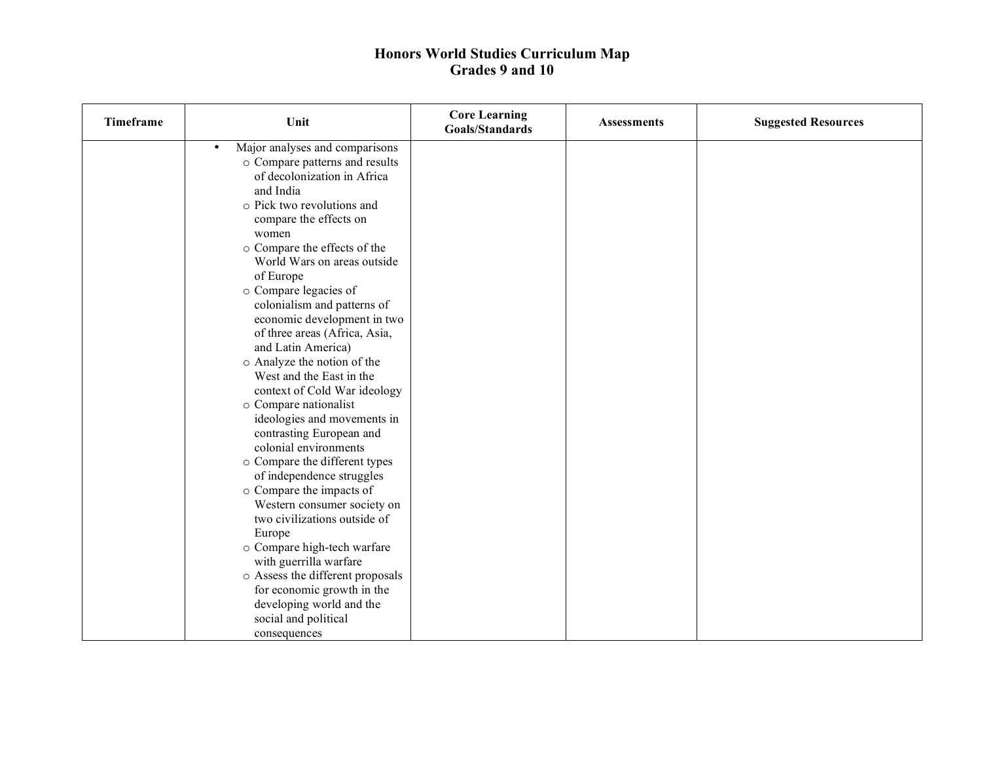| <b>Timeframe</b> | Unit                                        | <b>Core Learning</b><br>Goals/Standards | <b>Assessments</b> | <b>Suggested Resources</b> |
|------------------|---------------------------------------------|-----------------------------------------|--------------------|----------------------------|
|                  | Major analyses and comparisons<br>$\bullet$ |                                         |                    |                            |
|                  | o Compare patterns and results              |                                         |                    |                            |
|                  | of decolonization in Africa                 |                                         |                    |                            |
|                  | and India                                   |                                         |                    |                            |
|                  | o Pick two revolutions and                  |                                         |                    |                            |
|                  | compare the effects on                      |                                         |                    |                            |
|                  | women                                       |                                         |                    |                            |
|                  | o Compare the effects of the                |                                         |                    |                            |
|                  | World Wars on areas outside                 |                                         |                    |                            |
|                  | of Europe                                   |                                         |                    |                            |
|                  | o Compare legacies of                       |                                         |                    |                            |
|                  | colonialism and patterns of                 |                                         |                    |                            |
|                  | economic development in two                 |                                         |                    |                            |
|                  | of three areas (Africa, Asia,               |                                         |                    |                            |
|                  | and Latin America)                          |                                         |                    |                            |
|                  | o Analyze the notion of the                 |                                         |                    |                            |
|                  | West and the East in the                    |                                         |                    |                            |
|                  | context of Cold War ideology                |                                         |                    |                            |
|                  | o Compare nationalist                       |                                         |                    |                            |
|                  | ideologies and movements in                 |                                         |                    |                            |
|                  | contrasting European and                    |                                         |                    |                            |
|                  | colonial environments                       |                                         |                    |                            |
|                  | o Compare the different types               |                                         |                    |                            |
|                  | of independence struggles                   |                                         |                    |                            |
|                  | o Compare the impacts of                    |                                         |                    |                            |
|                  | Western consumer society on                 |                                         |                    |                            |
|                  | two civilizations outside of                |                                         |                    |                            |
|                  | Europe                                      |                                         |                    |                            |
|                  | o Compare high-tech warfare                 |                                         |                    |                            |
|                  | with guerrilla warfare                      |                                         |                    |                            |
|                  | o Assess the different proposals            |                                         |                    |                            |
|                  | for economic growth in the                  |                                         |                    |                            |
|                  | developing world and the                    |                                         |                    |                            |
|                  | social and political                        |                                         |                    |                            |
|                  | consequences                                |                                         |                    |                            |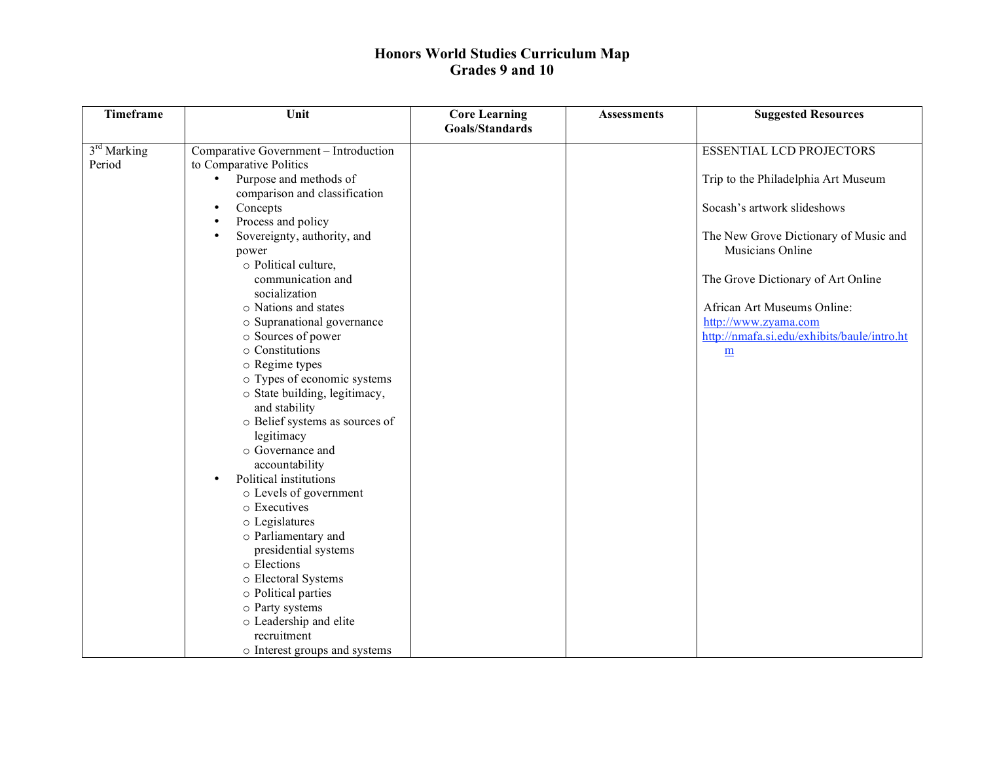| <b>Timeframe</b>        | Unit                                   | <b>Core Learning</b> | <b>Assessments</b> | <b>Suggested Resources</b>                  |
|-------------------------|----------------------------------------|----------------------|--------------------|---------------------------------------------|
|                         |                                        | Goals/Standards      |                    |                                             |
| 3 <sup>rd</sup> Marking | Comparative Government - Introduction  |                      |                    | <b>ESSENTIAL LCD PROJECTORS</b>             |
| Period                  | to Comparative Politics                |                      |                    |                                             |
|                         | Purpose and methods of                 |                      |                    | Trip to the Philadelphia Art Museum         |
|                         | comparison and classification          |                      |                    |                                             |
|                         | Concepts<br>$\bullet$                  |                      |                    | Socash's artwork slideshows                 |
|                         | Process and policy<br>$\bullet$        |                      |                    |                                             |
|                         | Sovereignty, authority, and            |                      |                    | The New Grove Dictionary of Music and       |
|                         | power                                  |                      |                    | Musicians Online                            |
|                         | o Political culture,                   |                      |                    |                                             |
|                         | communication and                      |                      |                    | The Grove Dictionary of Art Online          |
|                         | socialization                          |                      |                    |                                             |
|                         | o Nations and states                   |                      |                    | African Art Museums Online:                 |
|                         | o Supranational governance             |                      |                    | http://www.zyama.com                        |
|                         | o Sources of power                     |                      |                    | http://nmafa.si.edu/exhibits/baule/intro.ht |
|                         | o Constitutions                        |                      |                    | $\underline{m}$                             |
|                         | o Regime types                         |                      |                    |                                             |
|                         | o Types of economic systems            |                      |                    |                                             |
|                         | o State building, legitimacy,          |                      |                    |                                             |
|                         | and stability                          |                      |                    |                                             |
|                         | o Belief systems as sources of         |                      |                    |                                             |
|                         | legitimacy                             |                      |                    |                                             |
|                         | o Governance and                       |                      |                    |                                             |
|                         | accountability                         |                      |                    |                                             |
|                         | Political institutions<br>$\bullet$    |                      |                    |                                             |
|                         | o Levels of government<br>o Executives |                      |                    |                                             |
|                         |                                        |                      |                    |                                             |
|                         | o Legislatures<br>o Parliamentary and  |                      |                    |                                             |
|                         | presidential systems                   |                      |                    |                                             |
|                         | o Elections                            |                      |                    |                                             |
|                         | o Electoral Systems                    |                      |                    |                                             |
|                         | o Political parties                    |                      |                    |                                             |
|                         | o Party systems                        |                      |                    |                                             |
|                         | o Leadership and elite                 |                      |                    |                                             |
|                         | recruitment                            |                      |                    |                                             |
|                         | o Interest groups and systems          |                      |                    |                                             |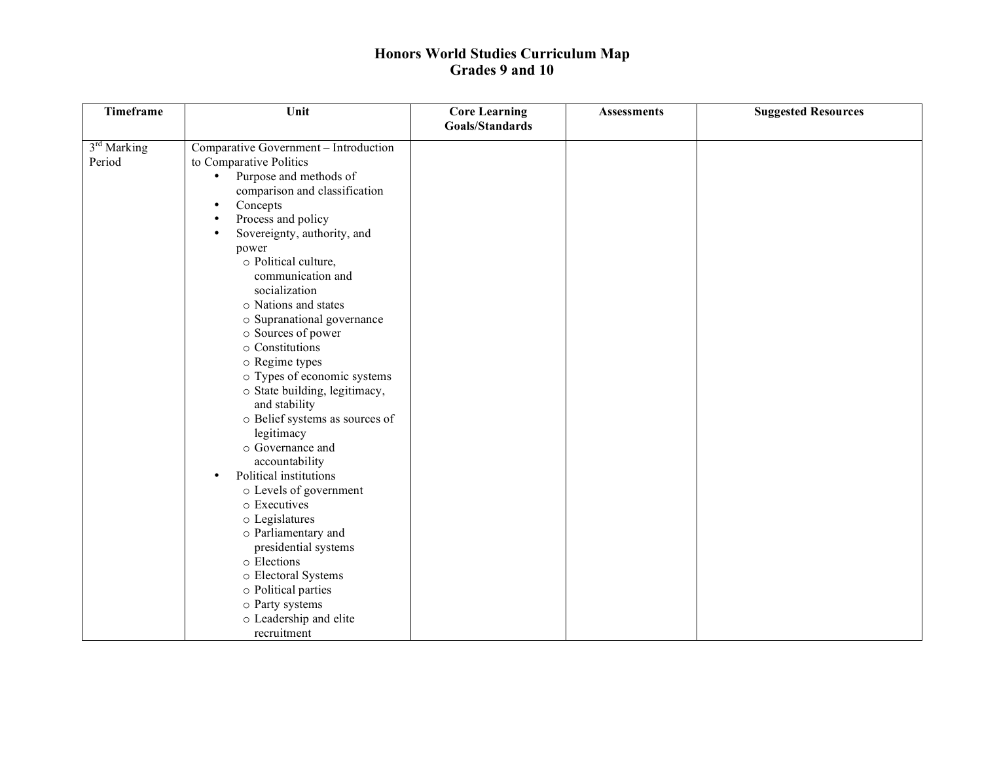| <b>Timeframe</b>                  | Unit                                                                                                                                                                                                                                                                                                                                                                                                                                                                                                                                                                                                                                                                                                                                                                          | <b>Core Learning</b> | <b>Assessments</b> | <b>Suggested Resources</b> |
|-----------------------------------|-------------------------------------------------------------------------------------------------------------------------------------------------------------------------------------------------------------------------------------------------------------------------------------------------------------------------------------------------------------------------------------------------------------------------------------------------------------------------------------------------------------------------------------------------------------------------------------------------------------------------------------------------------------------------------------------------------------------------------------------------------------------------------|----------------------|--------------------|----------------------------|
|                                   |                                                                                                                                                                                                                                                                                                                                                                                                                                                                                                                                                                                                                                                                                                                                                                               |                      |                    |                            |
| 3 <sup>rd</sup> Marking<br>Period | Comparative Government - Introduction<br>to Comparative Politics<br>Purpose and methods of<br>$\bullet$<br>comparison and classification<br>Concepts<br>$\bullet$<br>Process and policy<br>Sovereignty, authority, and<br>power<br>o Political culture,<br>communication and<br>socialization<br>o Nations and states<br>o Supranational governance<br>o Sources of power<br>o Constitutions<br>o Regime types<br>o Types of economic systems<br>o State building, legitimacy,<br>and stability<br>o Belief systems as sources of<br>legitimacy<br>○ Governance and<br>accountability<br>Political institutions<br>$\bullet$<br>o Levels of government<br>o Executives<br>o Legislatures<br>o Parliamentary and<br>presidential systems<br>o Elections<br>o Electoral Systems | Goals/Standards      |                    |                            |
|                                   | o Political parties                                                                                                                                                                                                                                                                                                                                                                                                                                                                                                                                                                                                                                                                                                                                                           |                      |                    |                            |
|                                   | o Party systems<br>o Leadership and elite                                                                                                                                                                                                                                                                                                                                                                                                                                                                                                                                                                                                                                                                                                                                     |                      |                    |                            |
|                                   | recruitment                                                                                                                                                                                                                                                                                                                                                                                                                                                                                                                                                                                                                                                                                                                                                                   |                      |                    |                            |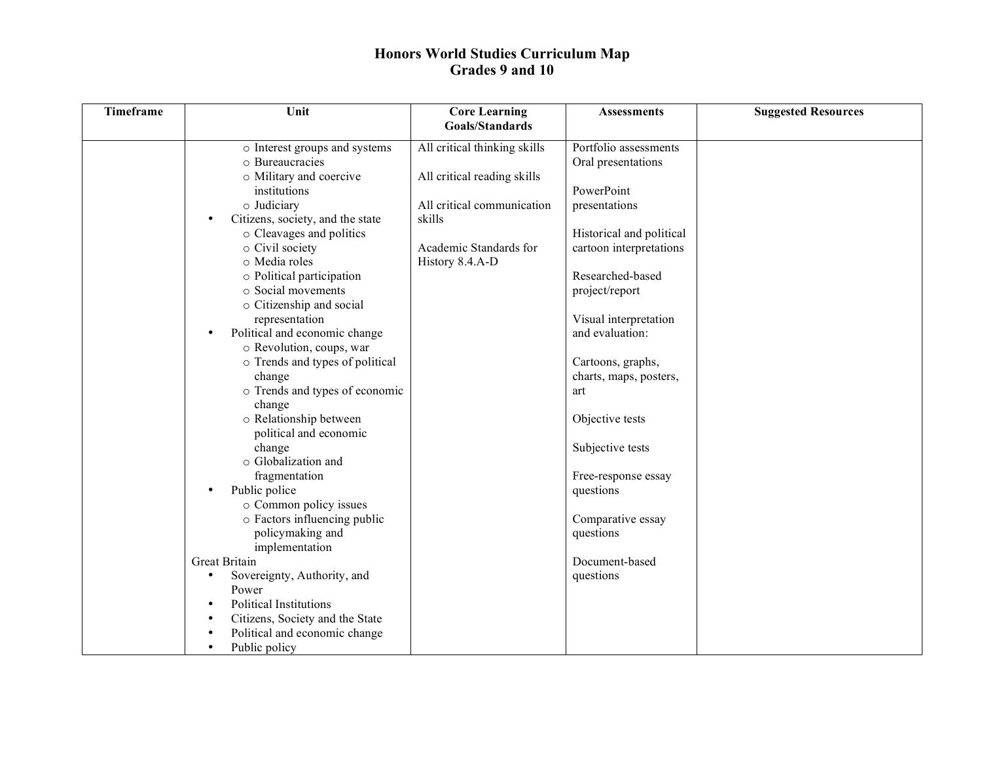| <b>Timeframe</b> | Unit                                          | <b>Core Learning</b>         | <b>Assessments</b>       | <b>Suggested Resources</b> |
|------------------|-----------------------------------------------|------------------------------|--------------------------|----------------------------|
|                  |                                               | Goals/Standards              |                          |                            |
|                  | $\circ$ Interest groups and systems           | All critical thinking skills | Portfolio assessments    |                            |
|                  | o Bureaucracies                               |                              | Oral presentations       |                            |
|                  | o Military and coercive                       | All critical reading skills  |                          |                            |
|                  | <i>institutions</i>                           |                              | PowerPoint               |                            |
|                  | o Judiciary                                   | All critical communication   | presentations            |                            |
|                  | Citizens, society, and the state<br>$\bullet$ | skills                       |                          |                            |
|                  | o Cleavages and politics                      |                              | Historical and political |                            |
|                  | o Civil society                               | Academic Standards for       | cartoon interpretations  |                            |
|                  | o Media roles                                 | History 8.4.A-D              |                          |                            |
|                  | o Political participation                     |                              | Researched-based         |                            |
|                  | o Social movements                            |                              | project/report           |                            |
|                  | o Citizenship and social                      |                              |                          |                            |
|                  | representation                                |                              | Visual interpretation    |                            |
|                  | Political and economic change<br>$\bullet$    |                              | and evaluation:          |                            |
|                  | o Revolution, coups, war                      |                              |                          |                            |
|                  | o Trends and types of political               |                              | Cartoons, graphs,        |                            |
|                  | change                                        |                              | charts, maps, posters,   |                            |
|                  | o Trends and types of economic                |                              | art                      |                            |
|                  | change                                        |                              |                          |                            |
|                  | o Relationship between                        |                              | Objective tests          |                            |
|                  | political and economic                        |                              |                          |                            |
|                  | change                                        |                              | Subjective tests         |                            |
|                  | o Globalization and                           |                              |                          |                            |
|                  | fragmentation                                 |                              | Free-response essay      |                            |
|                  | Public police<br>$\bullet$                    |                              | questions                |                            |
|                  | o Common policy issues                        |                              |                          |                            |
|                  | o Factors influencing public                  |                              | Comparative essay        |                            |
|                  | policymaking and                              |                              | questions                |                            |
|                  | implementation                                |                              |                          |                            |
|                  | Great Britain                                 |                              | Document-based           |                            |
|                  | Sovereignty, Authority, and<br>$\bullet$      |                              | questions                |                            |
|                  | Power                                         |                              |                          |                            |
|                  | <b>Political Institutions</b><br>$\bullet$    |                              |                          |                            |
|                  | Citizens, Society and the State<br>$\bullet$  |                              |                          |                            |
|                  | Political and economic change<br>$\bullet$    |                              |                          |                            |
|                  | Public policy<br>$\bullet$                    |                              |                          |                            |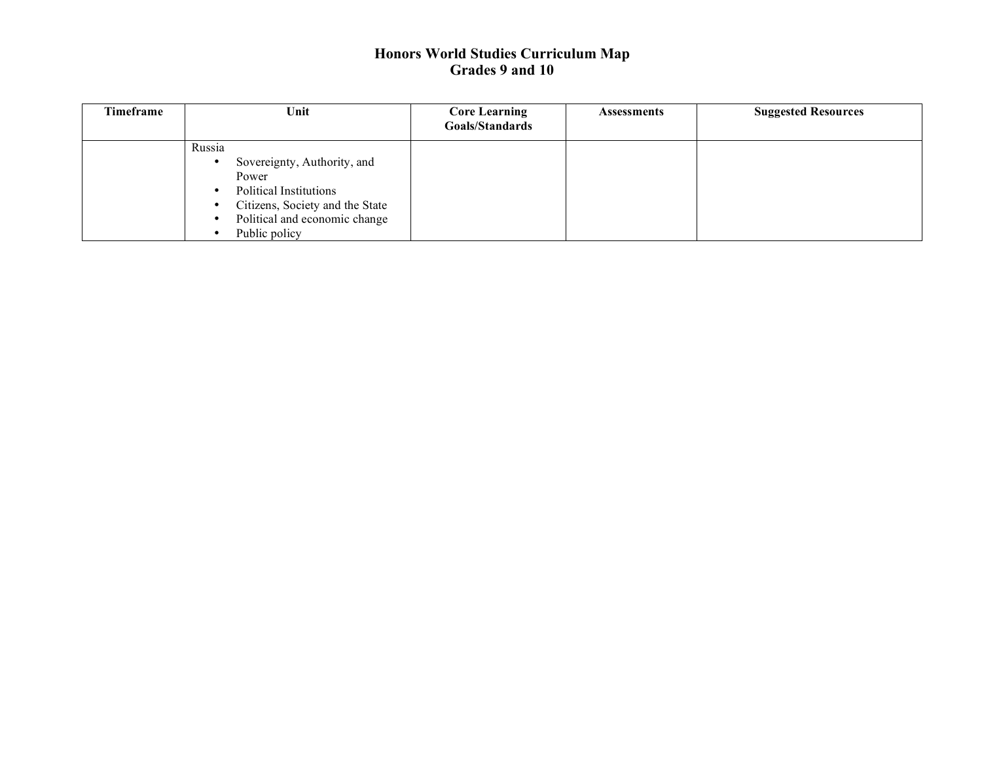| <b>Timeframe</b> | Unit                                                                                                                                                                 | <b>Core Learning</b><br>Goals/Standards | <b>Assessments</b> | <b>Suggested Resources</b> |
|------------------|----------------------------------------------------------------------------------------------------------------------------------------------------------------------|-----------------------------------------|--------------------|----------------------------|
|                  | Russia<br>Sovereignty, Authority, and<br>Power<br><b>Political Institutions</b><br>Citizens, Society and the State<br>Political and economic change<br>Public policy |                                         |                    |                            |